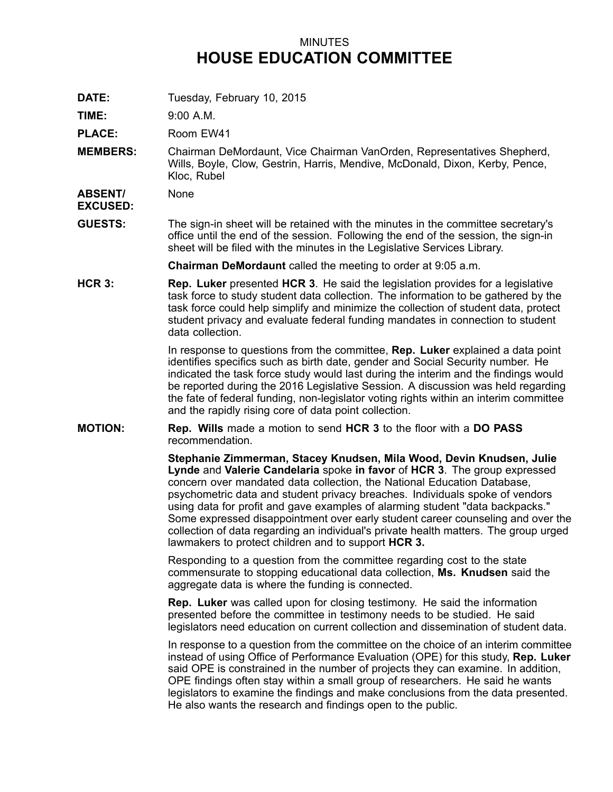## MINUTES **HOUSE EDUCATION COMMITTEE**

**DATE:** Tuesday, February 10, 2015

**TIME:** 9:00 A.M.

PLACE: Room EW41

**MEMBERS:** Chairman DeMordaunt, Vice Chairman VanOrden, Representatives Shepherd, Wills, Boyle, Clow, Gestrin, Harris, Mendive, McDonald, Dixon, Kerby, Pence, Kloc, Rubel

**ABSENT/** None

**EXCUSED:**

**GUESTS:** The sign-in sheet will be retained with the minutes in the committee secretary's office until the end of the session. Following the end of the session, the sign-in sheet will be filed with the minutes in the Legislative Services Library.

**Chairman DeMordaunt** called the meeting to order at 9:05 a.m.

**HCR 3: Rep. Luker** presented **HCR 3**. He said the legislation provides for <sup>a</sup> legislative task force to study student data collection. The information to be gathered by the task force could help simplify and minimize the collection of student data, protect student privacy and evaluate federal funding mandates in connection to student data collection.

> In response to questions from the committee, **Rep. Luker** explained <sup>a</sup> data point identifies specifics such as birth date, gender and Social Security number. He indicated the task force study would last during the interim and the findings would be reported during the 2016 Legislative Session. A discussion was held regarding the fate of federal funding, non-legislator voting rights within an interim committee and the rapidly rising core of data point collection.

**MOTION: Rep. Wills** made <sup>a</sup> motion to send **HCR 3** to the floor with <sup>a</sup> **DO PASS** recommendation.

> **Stephanie Zimmerman, Stacey Knudsen, Mila Wood, Devin Knudsen, Julie Lynde** and **Valerie Candelaria** spoke **in favor** of **HCR 3**. The group expressed concern over mandated data collection, the National Education Database, psychometric data and student privacy breaches. Individuals spoke of vendors using data for profit and gave examples of alarming student "data backpacks." Some expressed disappointment over early student career counseling and over the collection of data regarding an individual's private health matters. The group urged lawmakers to protect children and to support **HCR 3.**

Responding to <sup>a</sup> question from the committee regarding cost to the state commensurate to stopping educational data collection, **Ms. Knudsen** said the aggregate data is where the funding is connected.

**Rep. Luker** was called upon for closing testimony. He said the information presented before the committee in testimony needs to be studied. He said legislators need education on current collection and dissemination of student data.

In response to <sup>a</sup> question from the committee on the choice of an interim committee instead of using Office of Performance Evaluation (OPE) for this study, **Rep. Luker** said OPE is constrained in the number of projects they can examine. In addition, OPE findings often stay within <sup>a</sup> small group of researchers. He said he wants legislators to examine the findings and make conclusions from the data presented. He also wants the research and findings open to the public.